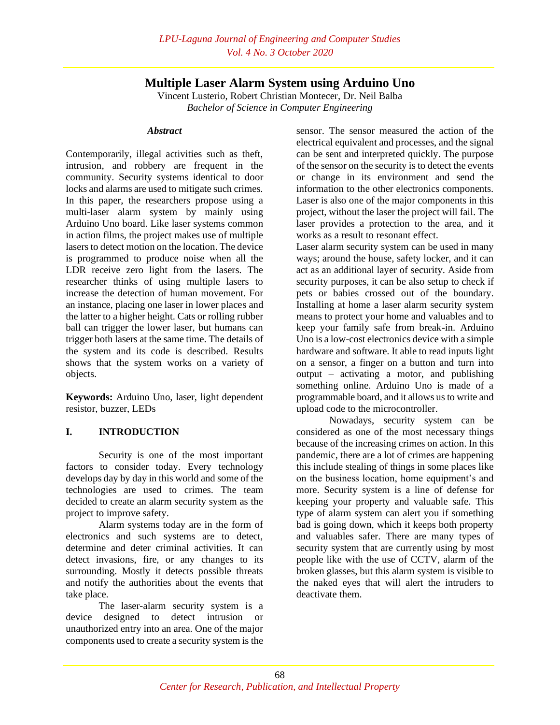# **Multiple Laser Alarm System using Arduino Uno**

Vincent Lusterio, Robert Christian Montecer, Dr. Neil Balba *Bachelor of Science in Computer Engineering*

### *Abstract*

Contemporarily, illegal activities such as theft, intrusion, and robbery are frequent in the community. Security systems identical to door locks and alarms are used to mitigate such crimes. In this paper, the researchers propose using a multi-laser alarm system by mainly using Arduino Uno board. Like laser systems common in action films, the project makes use of multiple lasers to detect motion on the location. The device is programmed to produce noise when all the LDR receive zero light from the lasers. The researcher thinks of using multiple lasers to increase the detection of human movement. For an instance, placing one laser in lower places and the latter to a higher height. Cats or rolling rubber ball can trigger the lower laser, but humans can trigger both lasers at the same time. The details of the system and its code is described. Results shows that the system works on a variety of objects.

**Keywords:** Arduino Uno, laser, light dependent resistor, buzzer, LEDs

# **I. INTRODUCTION**

Security is one of the most important factors to consider today. Every technology develops day by day in this world and some of the technologies are used to crimes. The team decided to create an alarm security system as the project to improve safety.

Alarm systems today are in the form of electronics and such systems are to detect, determine and deter criminal activities. It can detect invasions, fire, or any changes to its surrounding. Mostly it detects possible threats and notify the authorities about the events that take place.

The laser-alarm security system is a device designed to detect intrusion or unauthorized entry into an area. One of the major components used to create a security system is the

sensor. The sensor measured the action of the electrical equivalent and processes, and the signal can be sent and interpreted quickly. The purpose of the sensor on the security is to detect the events or change in its environment and send the information to the other electronics components. Laser is also one of the major components in this project, without the laser the project will fail. The laser provides a protection to the area, and it works as a result to resonant effect.

Laser alarm security system can be used in many ways; around the house, safety locker, and it can act as an additional layer of security. Aside from security purposes, it can be also setup to check if pets or babies crossed out of the boundary. Installing at home a laser alarm security system means to protect your home and valuables and to keep your family safe from break-in. Arduino Uno is a low-cost electronics device with a simple hardware and software. It able to read inputs light on a sensor, a finger on a button and turn into output – activating a motor, and publishing something online. Arduino Uno is made of a programmable board, and it allows us to write and upload code to the microcontroller.

Nowadays, security system can be considered as one of the most necessary things because of the increasing crimes on action. In this pandemic, there are a lot of crimes are happening this include stealing of things in some places like on the business location, home equipment's and more. Security system is a line of defense for keeping your property and valuable safe. This type of alarm system can alert you if something bad is going down, which it keeps both property and valuables safer. There are many types of security system that are currently using by most people like with the use of CCTV, alarm of the broken glasses, but this alarm system is visible to the naked eyes that will alert the intruders to deactivate them.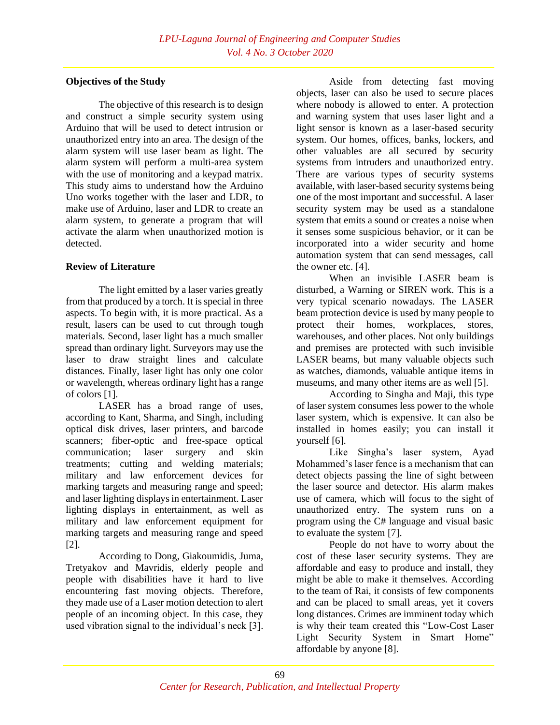### **Objectives of the Study**

The objective of this research is to design and construct a simple security system using Arduino that will be used to detect intrusion or unauthorized entry into an area. The design of the alarm system will use laser beam as light. The alarm system will perform a multi-area system with the use of monitoring and a keypad matrix. This study aims to understand how the Arduino Uno works together with the laser and LDR, to make use of Arduino, laser and LDR to create an alarm system, to generate a program that will activate the alarm when unauthorized motion is detected.

# **Review of Literature**

The light emitted by a laser varies greatly from that produced by a torch. It is special in three aspects. To begin with, it is more practical. As a result, lasers can be used to cut through tough materials. Second, laser light has a much smaller spread than ordinary light. Surveyors may use the laser to draw straight lines and calculate distances. Finally, laser light has only one color or wavelength, whereas ordinary light has a range of colors [1].

LASER has a broad range of uses, according to Kant, Sharma, and Singh, including optical disk drives, laser printers, and barcode scanners; fiber-optic and free-space optical communication; laser surgery and skin treatments; cutting and welding materials; military and law enforcement devices for marking targets and measuring range and speed; and laser lighting displays in entertainment. Laser lighting displays in entertainment, as well as military and law enforcement equipment for marking targets and measuring range and speed [2].

According to Dong, Giakoumidis, Juma, Tretyakov and Mavridis, elderly people and people with disabilities have it hard to live encountering fast moving objects. Therefore, they made use of a Laser motion detection to alert people of an incoming object. In this case, they used vibration signal to the individual's neck [3].

Aside from detecting fast moving objects, laser can also be used to secure places where nobody is allowed to enter. A protection and warning system that uses laser light and a light sensor is known as a laser-based security system. Our homes, offices, banks, lockers, and other valuables are all secured by security systems from intruders and unauthorized entry. There are various types of security systems available, with laser-based security systems being one of the most important and successful. A laser security system may be used as a standalone system that emits a sound or creates a noise when it senses some suspicious behavior, or it can be incorporated into a wider security and home automation system that can send messages, call the owner etc. [4].

When an invisible LASER beam is disturbed, a Warning or SIREN work. This is a very typical scenario nowadays. The LASER beam protection device is used by many people to protect their homes, workplaces, stores, warehouses, and other places. Not only buildings and premises are protected with such invisible LASER beams, but many valuable objects such as watches, diamonds, valuable antique items in museums, and many other items are as well [5].

According to Singha and Maji, this type of laser system consumes less power to the whole laser system, which is expensive. It can also be installed in homes easily; you can install it yourself [6].

Like Singha's laser system, Ayad Mohammed's laser fence is a mechanism that can detect objects passing the line of sight between the laser source and detector. His alarm makes use of camera, which will focus to the sight of unauthorized entry. The system runs on a program using the C# language and visual basic to evaluate the system [7].

People do not have to worry about the cost of these laser security systems. They are affordable and easy to produce and install, they might be able to make it themselves. According to the team of Rai, it consists of few components and can be placed to small areas, yet it covers long distances. Crimes are imminent today which is why their team created this "Low-Cost Laser Light Security System in Smart Home" affordable by anyone [8].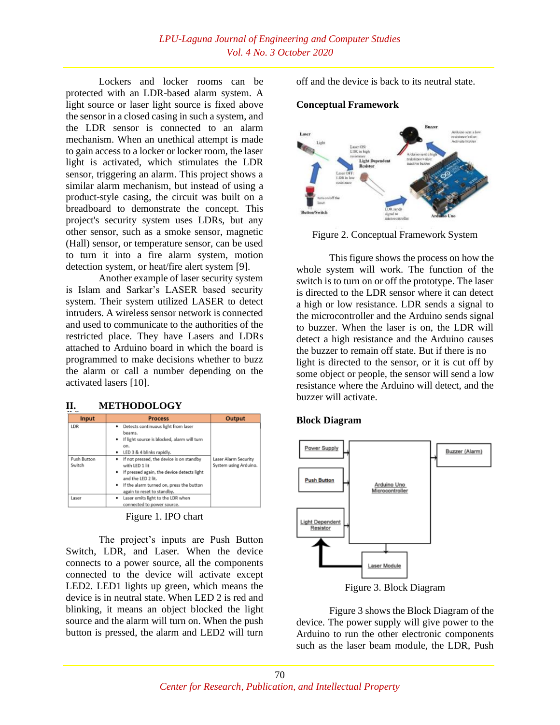Lockers and locker rooms can be protected with an LDR-based alarm system. A light source or laser light source is fixed above the sensor in a closed casing in such a system, and the LDR sensor is connected to an alarm mechanism. When an unethical attempt is made to gain access to a locker or locker room, the laser light is activated, which stimulates the LDR sensor, triggering an alarm. This project shows a similar alarm mechanism, but instead of using a product-style casing, the circuit was built on a breadboard to demonstrate the concept. This project's security system uses LDRs, but any other sensor, such as a smoke sensor, magnetic (Hall) sensor, or temperature sensor, can be used to turn it into a fire alarm system, motion detection system, or heat/fire alert system [9].

Another example of laser security system is Islam and Sarkar's LASER based security system. Their system utilized LASER to detect intruders. A wireless sensor network is connected and used to communicate to the authorities of the restricted place. They have Lasers and LDRs attached to Arduino board in which the board is programmed to make decisions whether to buzz the alarm or call a number depending on the activated lasers [10].

### **II. METHODOLOGY**

| <b>Input</b>          | <b>Process</b>                                                                                                                                                                                                    | Output                                        |  |
|-----------------------|-------------------------------------------------------------------------------------------------------------------------------------------------------------------------------------------------------------------|-----------------------------------------------|--|
| LDR                   | Detects continuous light from laser<br>٠<br>beams.<br>. If light source is blocked, alarm will turn<br>on.<br>• LED 3 & 4 blinks rapidly.                                                                         |                                               |  |
| Push Button<br>Switch | If not pressed, the device is on standby<br>٠<br>with LED 1 lit<br>• If pressed again, the device detects light<br>and the LED 2 lit.<br>• If the alarm turned on, press the button<br>again to reset to standby. | Laser Alarm Security<br>System using Arduino. |  |
| Laser                 | Laser emits light to the LDR when<br>٠<br>connected to power source.                                                                                                                                              |                                               |  |

Figure 1. IPO chart

The project's inputs are Push Button Switch, LDR, and Laser. When the device connects to a power source, all the components connected to the device will activate except LED2. LED1 lights up green, which means the device is in neutral state. When LED 2 is red and blinking, it means an object blocked the light source and the alarm will turn on. When the push button is pressed, the alarm and LED2 will turn

off and the device is back to its neutral state.

#### **Conceptual Framework**



Figure 2. Conceptual Framework System

This figure shows the process on how the whole system will work. The function of the switch is to turn on or off the prototype. The laser is directed to the LDR sensor where it can detect a high or low resistance. LDR sends a signal to the microcontroller and the Arduino sends signal to buzzer. When the laser is on, the LDR will detect a high resistance and the Arduino causes the buzzer to remain off state. But if there is no light is directed to the sensor, or it is cut off by some object or people, the sensor will send a low resistance where the Arduino will detect, and the buzzer will activate.

### **Block Diagram**



Figure 3. Block Diagram

Figure 3 shows the Block Diagram of the device. The power supply will give power to the Arduino to run the other electronic components such as the laser beam module, the LDR, Push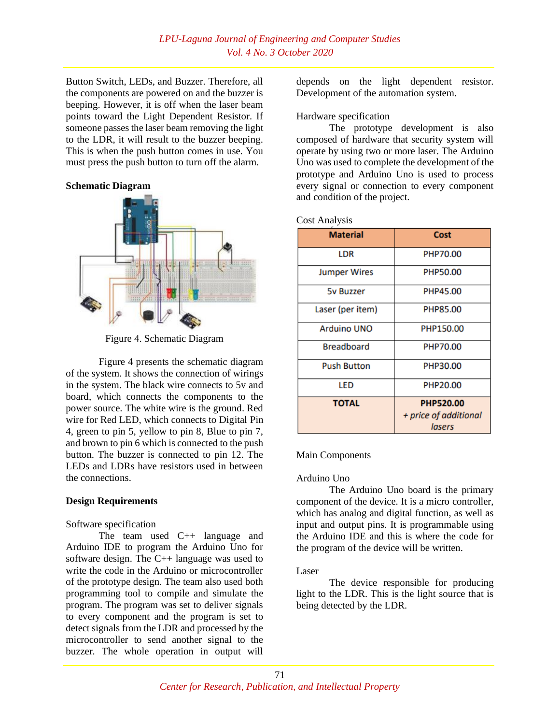Button Switch, LEDs, and Buzzer. Therefore, all the components are powered on and the buzzer is beeping. However, it is off when the laser beam points toward the Light Dependent Resistor. If someone passes the laser beam removing the light to the LDR, it will result to the buzzer beeping. This is when the push button comes in use. You must press the push button to turn off the alarm.

#### **Schematic Diagram**



Figure 4. Schematic Diagram

Figure 4 presents the schematic diagram of the system. It shows the connection of wirings in the system. The black wire connects to 5v and board, which connects the components to the power source. The white wire is the ground. Red wire for Red LED, which connects to Digital Pin 4, green to pin 5, yellow to pin 8, Blue to pin 7, and brown to pin 6 which is connected to the push button. The buzzer is connected to pin 12. The LEDs and LDRs have resistors used in between the connections.

### **Design Requirements**

Software specification

The team used C++ language and Arduino IDE to program the Arduino Uno for software design. The C++ language was used to write the code in the Arduino or microcontroller of the prototype design. The team also used both programming tool to compile and simulate the program. The program was set to deliver signals to every component and the program is set to detect signals from the LDR and processed by the microcontroller to send another signal to the buzzer. The whole operation in output will

depends on the light dependent resistor. Development of the automation system.

#### Hardware specification

The prototype development is also composed of hardware that security system will operate by using two or more laser. The Arduino Uno was used to complete the development of the prototype and Arduino Uno is used to process every signal or connection to every component and condition of the project.

|  | <b>Cost Analysis</b> |
|--|----------------------|
|--|----------------------|

| <b>Material</b>     | Cost                  |  |
|---------------------|-----------------------|--|
| LDR                 | PHP70.00              |  |
| <b>Jumper Wires</b> | PHP50.00              |  |
| <b>5v Buzzer</b>    | PHP45.00              |  |
| Laser (per item)    | PHP85.00              |  |
| <b>Arduino UNO</b>  | PHP150.00             |  |
| <b>Breadboard</b>   | PHP70.00              |  |
| <b>Push Button</b>  | PHP30.00              |  |
| LED                 | PHP20.00              |  |
| <b>TOTAL</b>        | <b>PHP520.00</b>      |  |
|                     | + price of additional |  |
|                     | lasers                |  |

### Main Components

### Arduino Uno

The Arduino Uno board is the primary component of the device. It is a micro controller, which has analog and digital function, as well as input and output pins. It is programmable using the Arduino IDE and this is where the code for the program of the device will be written.

#### Laser

The device responsible for producing light to the LDR. This is the light source that is being detected by the LDR.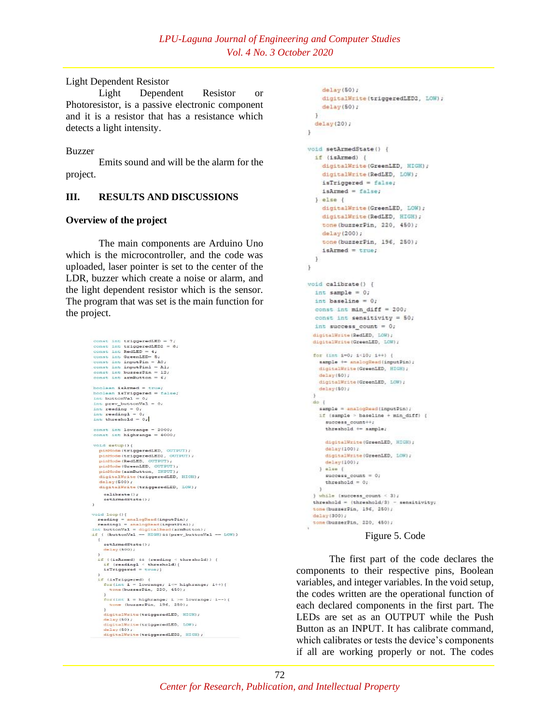#### Light Dependent Resistor

Light Dependent Resistor or Photoresistor, is a passive electronic component and it is a resistor that has a resistance which detects a light intensity.

Buzzer

Emits sound and will be the alarm for the project.

# **III. RESULTS AND DISCUSSIONS**

### **Overview of the project**

The main components are Arduino Uno which is the microcontroller, and the code was uploaded, laser pointer is set to the center of the LDR, buzzer which create a noise or alarm, and the light dependent resistor which is the sensor. The program that was set is the main function for the project.

```
const int triggered<br>ED = 7<br>const int RedLED = 4;<br>const int RedLED = 4;<br>const int Green<br>LED = 5;<br>const int inputPin = 12;<br>const int huggerPin = 12;<br>const int huggerPin = 12;<br>const int huggerPin = 12;
 boolean isArmed = trueboolean isArmed = true;<br>boolean isTriggered = false;<br>int buttonVal = 0;<br>int pre-buttonVal = 0;<br>int reading = 0;<br>int reading = 0;<br>int reading = 0;
 int threshold = 0,const int lowrange = 2000;<br>const int highrange = 4000
 void setup() {
      pinMode(triggeredLED, OUTPUT);
      panNode (triggeredLED, OUTFUT);<br>pinNode (triggeredLED2, OUTFUT);<br>pinNode (RedLED, OUTFUT);<br>pinNode (GredLED, OUTFUT);<br>pinNode (armButton, INFUT);<br>digitalNrite (triggeredLED, HIGN);<br>digitalNrite (triggeredLED, HIGN);
      delay(500);<br>digitalWrite(triggeredLED, LOW);
          calibrate ();
          setArmedState();
\alphavoid loop(){<br>
reading= analogRead(inputPin);<br>
reading= analogRead(inputPinl);<br>
int buttonVal = digitalRead(armButton);<br>
if ( (buttonVal == HIGH)66(prev_buttonVal == LOW))
     \ddot{\mathbf{r}}setArmedState();
          del_{AV}(500):
     :<br>
if ((isArmed) && (reading < threshold)) {<br>
if (readingl < threshold){<br>
isTriggered = true;}
     )<br>if (isTriggered) {<br>for(int i = lowrange; i== highrange; i++){<br>tone(buzzerPin, 220, 450);
          for(int i = highrange; i >= lowrange; i--) {<br>tone (buzzerPin, 196, 250);
           digitalWrite(triggeredLED, HIGH);
          delay(50);<br>digitalWrite(triggeredLED, LOW);
          delay(50);<br>digitalWrite(triggeredLED2, HIGH);
```

```
delay(50);digitalWrite(triggeredLED2, LOW);
    delay(50);\mathcal{V}delay(20);\mathcal{F}void setArmedState() {
 if (isArmed) {
   digitalWrite(GreenLED, HIGH);
    digitalWrite(RedLED, LOW);
    isTriggered = false;
    isArmed = false;
  \} else {
    digitalWrite (GreenLED, LOW);
   digitalWrite(RedLED, HIGH);
    tone (buzzerPin, 220, 450);
   delay(200);tone(buzzerPin, 196, 250);
    isArmed = true;\mathbf{F}\rightarrowvoid calibrate() {
 int sample = 0;int baseline = 0;
  const int min_diff = 200;
  const int sensitivity = 50;
  int success_count = 0;
 digitalWrite (RedLED, LOW) ;
  digitalWrite (GreenLED, LOW) ;
  for \{int 1 = 0; 1 \le 10; 1 + 1sample + analogRead(inputPin);
    digitalWrite (GreenLED, HIGH) ;
    delay(50);
    digitalWrite(GreenLED, LOW);
    delay(50);do isample = analogRead(inputPin);
    if (sample > baseline + min_diff) {
      success\_count++;threshold += sample;
     digitalWrite (GreenLED, HIGH) ;
     delay(100);digitalWrite(GreenLED, LON);
     delay(100);} = 1success_count = 0;threshold = 0;} while (success_count < 3);
  threshold = {threshold/3} - sensitivity;
  tone (buzzerPin, 196, 250);
  delay(300);tone(busserPin, 220, 450);
```
### Figure 5. Code

The first part of the code declares the components to their respective pins, Boolean variables, and integer variables. In the void setup, the codes written are the operational function of each declared components in the first part. The LEDs are set as an OUTPUT while the Push Button as an INPUT. It has calibrate command, which calibrates or tests the device's components if all are working properly or not. The codes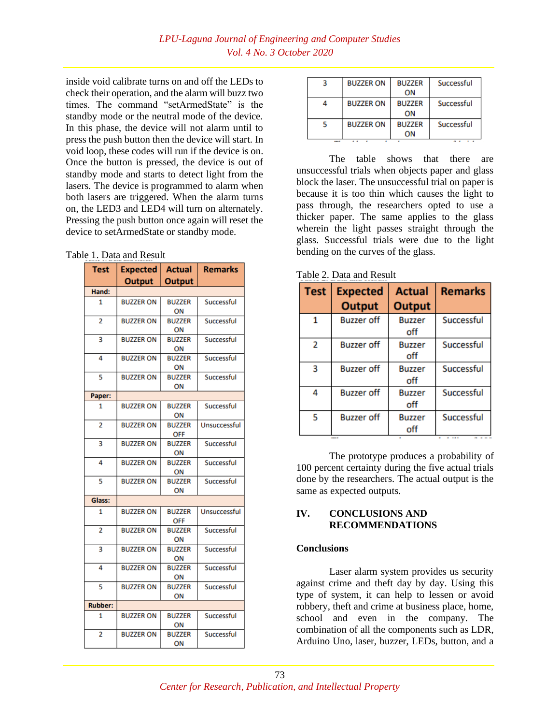inside void calibrate turns on and off the LEDs to check their operation, and the alarm will buzz two times. The command "setArmedState" is the standby mode or the neutral mode of the device. In this phase, the device will not alarm until to press the push button then the device will start. In void loop, these codes will run if the device is on. Once the button is pressed, the device is out of standby mode and starts to detect light from the lasers. The device is programmed to alarm when both lasers are triggered. When the alarm turns on, the LED3 and LED4 will turn on alternately. Pressing the push button once again will reset the device to setArmedState or standby mode.

#### Table 1. Data and Result

| <b>Test</b>    | <b>Expected</b>  | <b>Actual</b>       | <b>Remarks</b>    |
|----------------|------------------|---------------------|-------------------|
|                | <b>Output</b>    | <b>Output</b>       |                   |
| Hand:          |                  |                     |                   |
| 1              | <b>BUZZER ON</b> | <b>BUZZER</b>       | <b>Successful</b> |
|                |                  | ON                  |                   |
| $\overline{2}$ | <b>BUZZER ON</b> | <b>BUZZER</b>       | Successful        |
|                |                  | ON                  |                   |
| 3              | <b>BUZZER ON</b> | <b>BUZZER</b><br>ON | Successful        |
| 4              | <b>BUZZER ON</b> | <b>BUZZER</b>       | Successful        |
|                |                  | ON                  |                   |
| 5              | <b>BUZZER ON</b> | <b>BUZZER</b>       | Successful        |
|                |                  | ON                  |                   |
| Paper:         |                  |                     |                   |
| 1              | <b>BUZZER ON</b> | <b>BUZZER</b>       | <b>Successful</b> |
|                |                  | ON                  |                   |
| $\overline{2}$ | <b>BUZZER ON</b> | <b>BUZZER</b>       | Unsuccessful      |
|                |                  | <b>OFF</b>          |                   |
| 3              | <b>BUZZER ON</b> | <b>BUZZER</b><br>ON | <b>Successful</b> |
| 4              | <b>BUZZER ON</b> | <b>BUZZER</b>       | Successful        |
|                |                  | ON                  |                   |
| 5              | <b>BUZZER ON</b> | <b>BUZZER</b>       | Successful        |
|                |                  | ON                  |                   |
| Glass:         |                  |                     |                   |
| 1              | <b>BUZZER ON</b> | <b>BUZZER</b>       | Unsuccessful      |
|                |                  | <b>OFF</b>          |                   |
| $\overline{2}$ | <b>BUZZER ON</b> | <b>BUZZER</b>       | Successful        |
|                |                  | ON                  |                   |
| 3              | <b>BUZZER ON</b> | <b>BUZZER</b>       | Successful        |
| 4              | <b>BUZZER ON</b> | ΟN<br><b>BUZZER</b> | Successful        |
|                |                  | ON                  |                   |
| 5              | <b>BUZZER ON</b> | <b>BUZZER</b>       | Successful        |
|                |                  | ON                  |                   |
| <b>Rubber:</b> |                  |                     |                   |
| 1              | <b>BUZZER ON</b> | <b>BUZZER</b>       | Successful        |
|                |                  | ON                  |                   |
| $\overline{2}$ | <b>BUZZER ON</b> | <b>BUZZER</b>       | Successful        |
|                |                  | ON                  |                   |

| <b>BUZZER ON</b> | <b>BUZZER</b><br>ON | Successful |
|------------------|---------------------|------------|
| <b>BUZZER ON</b> | <b>BUZZER</b><br>ON | Successful |
| <b>BUZZER ON</b> | <b>BUZZER</b><br>ON | Successful |

The table shows that there are unsuccessful trials when objects paper and glass block the laser. The unsuccessful trial on paper is because it is too thin which causes the light to pass through, the researchers opted to use a thicker paper. The same applies to the glass wherein the light passes straight through the glass. Successful trials were due to the light bending on the curves of the glass.

| Table 2. Data and Result |  |  |  |
|--------------------------|--|--|--|
|                          |  |  |  |

| <b>Test</b>              | <b>Expected</b><br><b>Output</b> | <b>Actual</b><br><b>Output</b> | <b>Remarks</b> |
|--------------------------|----------------------------------|--------------------------------|----------------|
| 1                        | <b>Buzzer off</b>                | <b>Buzzer</b><br>off           | Successful     |
| $\overline{\phantom{a}}$ | <b>Buzzer off</b>                | <b>Buzzer</b><br>off           | Successful     |
| 3                        | <b>Buzzer off</b>                | <b>Buzzer</b><br>off           | Successful     |
| 4                        | <b>Buzzer off</b>                | <b>Buzzer</b><br>off           | Successful     |
| 5                        | <b>Buzzer off</b>                | <b>Buzzer</b><br>off           | Successful     |

The prototype produces a probability of 100 percent certainty during the five actual trials done by the researchers. The actual output is the same as expected outputs.

### **IV. CONCLUSIONS AND RECOMMENDATIONS**

#### **Conclusions**

Laser alarm system provides us security against crime and theft day by day. Using this type of system, it can help to lessen or avoid robbery, theft and crime at business place, home, school and even in the company. The combination of all the components such as LDR, Arduino Uno, laser, buzzer, LEDs, button, and a